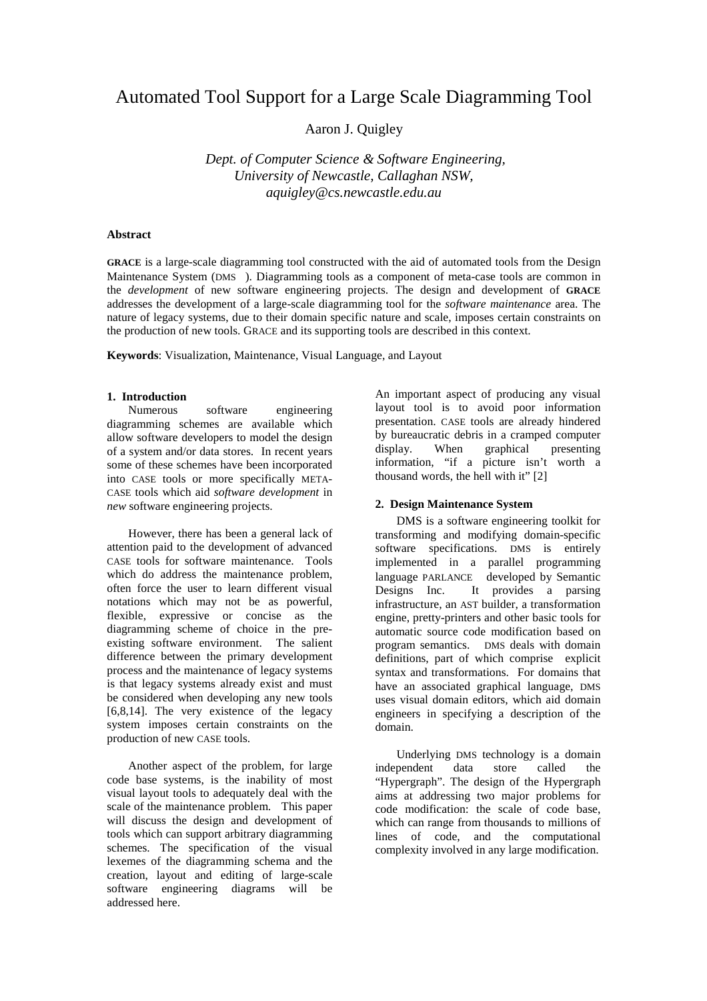# Automated Tool Support for a Large Scale Diagramming Tool

Aaron J. Quigley

 *Dept. of Computer Science & Software Engineering, University of Newcastle, Callaghan NSW, aquigley@cs.newcastle.edu.au*

## **Abstract**

**GRACE** is a large-scale diagramming tool constructed with the aid of automated tools from the Design Maintenance System (DMS ). Diagramming tools as a component of meta-case tools are common in the *development* of new software engineering projects. The design and development of **GRACE** addresses the development of a large-scale diagramming tool for the *software maintenance* area. The nature of legacy systems, due to their domain specific nature and scale, imposes certain constraints on the production of new tools. GRACE and its supporting tools are described in this context.

**Keywords**: Visualization, Maintenance, Visual Language, and Layout

## **1. Introduction**

Numerous software engineering diagramming schemes are available which allow software developers to model the design of a system and/or data stores. In recent years some of these schemes have been incorporated into CASE tools or more specifically META-CASE tools which aid *software development* in *new* software engineering projects.

However, there has been a general lack of attention paid to the development of advanced CASE tools for software maintenance. Tools which do address the maintenance problem, often force the user to learn different visual notations which may not be as powerful, flexible, expressive or concise as the diagramming scheme of choice in the preexisting software environment. The salient difference between the primary development process and the maintenance of legacy systems is that legacy systems already exist and must be considered when developing any new tools  $[6,8,14]$ . The very existence of the legacy system imposes certain constraints on the production of new CASE tools.

Another aspect of the problem, for large code base systems, is the inability of most visual layout tools to adequately deal with the scale of the maintenance problem. This paper will discuss the design and development of tools which can support arbitrary diagramming schemes. The specification of the visual lexemes of the diagramming schema and the creation, layout and editing of large-scale software engineering diagrams will be addressed here.

An important aspect of producing any visual layout tool is to avoid poor information presentation. CASE tools are already hindered by bureaucratic debris in a cramped computer<br>display. When graphical presenting display. When graphical presenting information, "if a picture isn't worth a thousand words, the hell with it" [2]

### **2. Design Maintenance System**

DMS is a software engineering toolkit for transforming and modifying domain-specific software specifications. DMS is entirely implemented in a parallel programming language PARLANCE developed by Semantic Designs Inc. It provides a parsing infrastructure, an AST builder, a transformation engine, pretty-printers and other basic tools for automatic source code modification based on program semantics. DMS deals with domain definitions, part of which comprise explicit syntax and transformations. For domains that have an associated graphical language, DMS uses visual domain editors, which aid domain engineers in specifying a description of the domain.

Underlying DMS technology is a domain<br>pendent data store called the independent data store called the "Hypergraph". The design of the Hypergraph aims at addressing two major problems for code modification: the scale of code base, which can range from thousands to millions of lines of code, and the computational complexity involved in any large modification.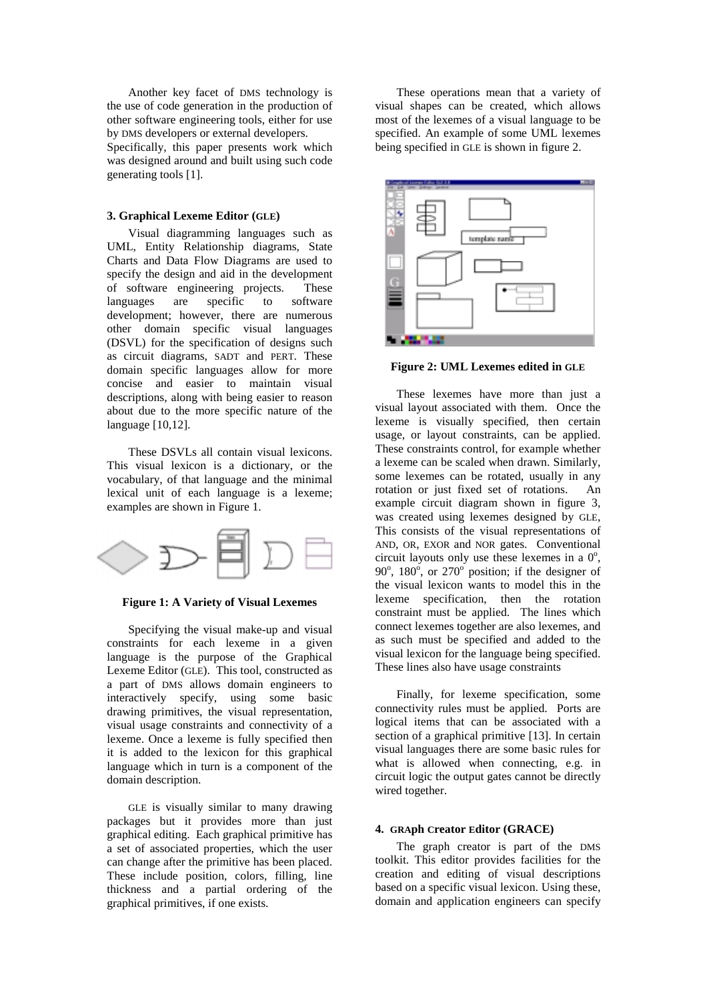Another key facet of DMS technology is the use of code generation in the production of other software engineering tools, either for use by DMS developers or external developers.

Specifically, this paper presents work which was designed around and built using such code generating tools [1].

#### **3. Graphical Lexeme Editor (GLE)**

Visual diagramming languages such as UML, Entity Relationship diagrams, State Charts and Data Flow Diagrams are used to specify the design and aid in the development of software engineering projects. These<br>languages are specific to software languages are specific to development; however, there are numerous other domain specific visual languages (DSVL) for the specification of designs such as circuit diagrams, SADT and PERT. These domain specific languages allow for more concise and easier to maintain visual descriptions, along with being easier to reason about due to the more specific nature of the language [10,12].

These DSVLs all contain visual lexicons. This visual lexicon is a dictionary, or the vocabulary, of that language and the minimal lexical unit of each language is a lexeme; examples are shown in Figure 1.





Specifying the visual make-up and visual constraints for each lexeme in a given language is the purpose of the Graphical Lexeme Editor (GLE). This tool, constructed as a part of DMS allows domain engineers to interactively specify, using some basic drawing primitives, the visual representation, visual usage constraints and connectivity of a lexeme. Once a lexeme is fully specified then it is added to the lexicon for this graphical language which in turn is a component of the domain description.

GLE is visually similar to many drawing packages but it provides more than just graphical editing. Each graphical primitive has a set of associated properties, which the user can change after the primitive has been placed. These include position, colors, filling, line thickness and a partial ordering of the graphical primitives, if one exists.

These operations mean that a variety of visual shapes can be created, which allows most of the lexemes of a visual language to be specified. An example of some UML lexemes being specified in GLE is shown in figure 2.



**Figure 2: UML Lexemes edited in GLE**

These lexemes have more than just a visual layout associated with them. Once the lexeme is visually specified, then certain usage, or layout constraints, can be applied. These constraints control, for example whether a lexeme can be scaled when drawn. Similarly, some lexemes can be rotated, usually in any rotation or just fixed set of rotations. An example circuit diagram shown in figure 3, was created using lexemes designed by GLE, This consists of the visual representations of AND, OR, EXOR and NOR gates. Conventional circuit layouts only use these lexemes in a  $0^\circ$ , 90 $^{\circ}$ , 180 $^{\circ}$ , or 270 $^{\circ}$  position; if the designer of the visual lexicon wants to model this in the lexeme specification, then the rotation constraint must be applied. The lines which connect lexemes together are also lexemes, and as such must be specified and added to the visual lexicon for the language being specified. These lines also have usage constraints

Finally, for lexeme specification, some connectivity rules must be applied. Ports are logical items that can be associated with a section of a graphical primitive [13]. In certain visual languages there are some basic rules for what is allowed when connecting, e.g. in circuit logic the output gates cannot be directly wired together.

#### **4. GRAph Creator Editor (GRACE)**

The graph creator is part of the DMS toolkit. This editor provides facilities for the creation and editing of visual descriptions based on a specific visual lexicon. Using these, domain and application engineers can specify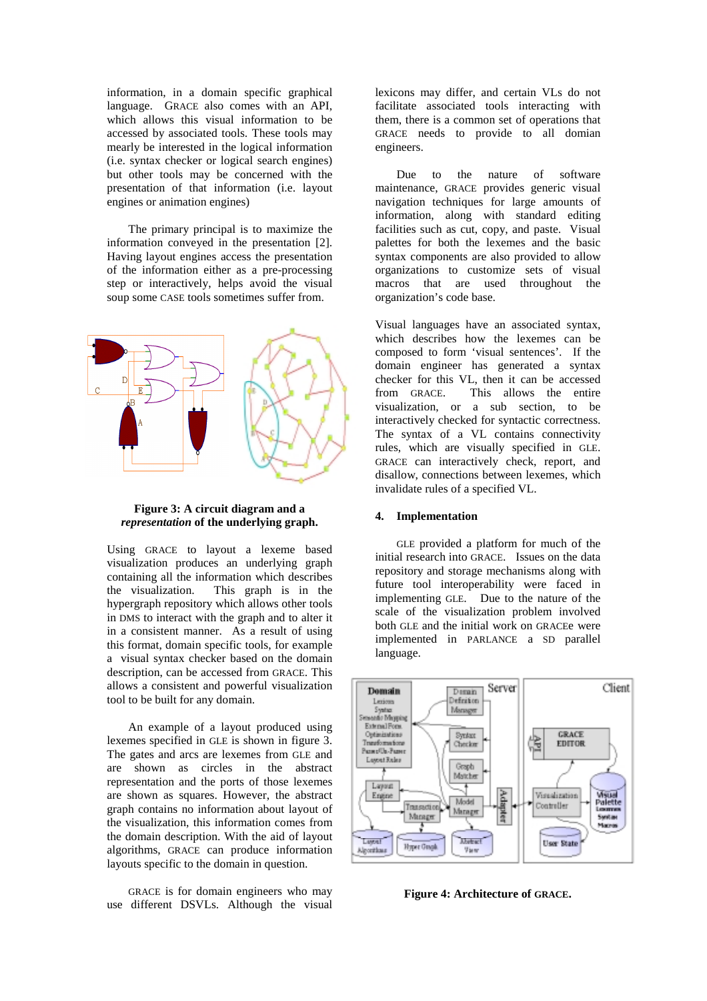information, in a domain specific graphical language. GRACE also comes with an API, which allows this visual information to be accessed by associated tools. These tools may mearly be interested in the logical information (i.e. syntax checker or logical search engines) but other tools may be concerned with the presentation of that information (i.e. layout engines or animation engines)

The primary principal is to maximize the information conveyed in the presentation [2]. Having layout engines access the presentation of the information either as a pre-processing step or interactively, helps avoid the visual soup some CASE tools sometimes suffer from.



**Figure 3: A circuit diagram and a** *representation* **of the underlying graph.**

Using GRACE to layout a lexeme based visualization produces an underlying graph containing all the information which describes the visualization. This graph is in the hypergraph repository which allows other tools in DMS to interact with the graph and to alter it in a consistent manner. As a result of using this format, domain specific tools, for example a visual syntax checker based on the domain description, can be accessed from GRACE. This allows a consistent and powerful visualization tool to be built for any domain.

An example of a layout produced using lexemes specified in GLE is shown in figure 3. The gates and arcs are lexemes from GLE and are shown as circles in the abstract representation and the ports of those lexemes are shown as squares. However, the abstract graph contains no information about layout of the visualization, this information comes from the domain description. With the aid of layout algorithms, GRACE can produce information layouts specific to the domain in question.

GRACE is for domain engineers who may use different DSVLs. Although the visual lexicons may differ, and certain VLs do not facilitate associated tools interacting with them, there is a common set of operations that GRACE needs to provide to all domian engineers.

Due to the nature of software maintenance, GRACE provides generic visual navigation techniques for large amounts of information, along with standard editing facilities such as cut, copy, and paste. Visual palettes for both the lexemes and the basic syntax components are also provided to allow organizations to customize sets of visual macros that are used throughout the organization's code base.

Visual languages have an associated syntax, which describes how the lexemes can be composed to form 'visual sentences'. If the domain engineer has generated a syntax checker for this VL, then it can be accessed from GRACE. This allows the entire visualization, or a sub section, to be interactively checked for syntactic correctness. The syntax of a VL contains connectivity rules, which are visually specified in GLE. GRACE can interactively check, report, and disallow, connections between lexemes, which invalidate rules of a specified VL.

#### **4. Implementation**

GLE provided a platform for much of the initial research into GRACE. Issues on the data repository and storage mechanisms along with future tool interoperability were faced in implementing GLE. Due to the nature of the scale of the visualization problem involved both GLE and the initial work on GRACEe were implemented in PARLANCE a SD parallel language.



**Figure 4: Architecture of GRACE.**